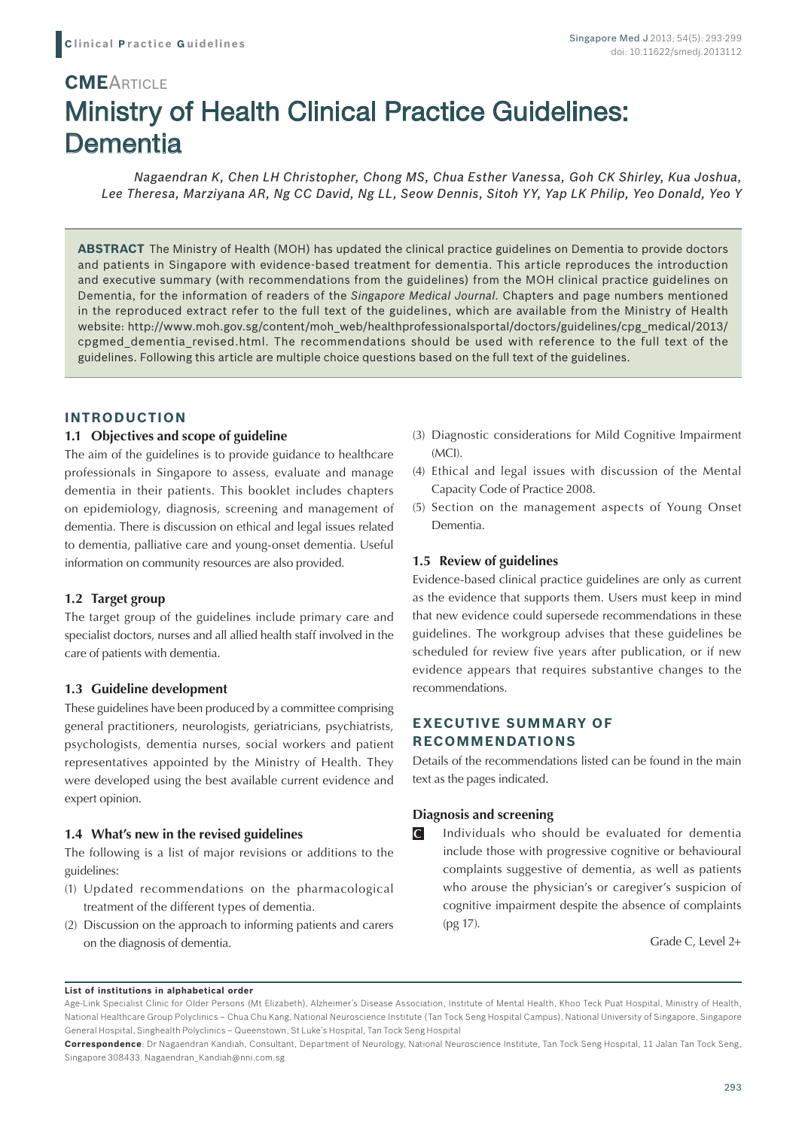# Ministry of Health Clinical Practice Guidelines: **Dementia CMEARTICLE**

*Nagaendran K, Chen LH Christopher, Chong MS, Chua Esther Vanessa, Goh CK Shirley, Kua Joshua, Lee Theresa, Marziyana AR, Ng CC David, Ng LL, Seow Dennis, Sitoh YY, Yap LK Philip, Yeo Donald, Yeo Y*

**ABSTRACT** The Ministry of Health (MOH) has updated the clinical practice guidelines on Dementia to provide doctors and patients in Singapore with evidence-based treatment for dementia. This article reproduces the introduction and executive summary (with recommendations from the guidelines) from the MOH clinical practice guidelines on Dementia, for the information of readers of the *Singapore Medical Journal*. Chapters and page numbers mentioned in the reproduced extract refer to the full text of the guidelines, which are available from the Ministry of Health website: http://www.moh.gov.sg/content/moh\_web/healthprofessionalsportal/doctors/guidelines/cpg\_medical/2013/ cpgmed\_dementia\_revised.html. The recommendations should be used with reference to the full text of the guidelines. Following this article are multiple choice questions based on the full text of the guidelines.

## **INTRODUCTION**

## **1.1 Objectives and scope of guideline**

The aim of the guidelines is to provide guidance to healthcare professionals in Singapore to assess, evaluate and manage dementia in their patients. This booklet includes chapters on epidemiology, diagnosis, screening and management of dementia. There is discussion on ethical and legal issues related to dementia, palliative care and young-onset dementia. Useful information on community resources are also provided.

#### **1.2 Target group**

The target group of the guidelines include primary care and specialist doctors, nurses and all allied health staff involved in the care of patients with dementia.

#### **1.3 Guideline development**

These guidelines have been produced by a committee comprising general practitioners, neurologists, geriatricians, psychiatrists, psychologists, dementia nurses, social workers and patient representatives appointed by the Ministry of Health. They were developed using the best available current evidence and expert opinion.

#### **1.4 What's new in the revised guidelines**

The following is a list of major revisions or additions to the guidelines:

- (1) Updated recommendations on the pharmacological treatment of the different types of dementia.
- (2) Discussion on the approach to informing patients and carers on the diagnosis of dementia.
- (3) Diagnostic considerations for Mild Cognitive Impairment (MCI).
- (4) Ethical and legal issues with discussion of the Mental Capacity Code of Practice 2008.
- (5) Section on the management aspects of Young Onset Dementia.

## **1.5 Review of guidelines**

Evidence-based clinical practice guidelines are only as current as the evidence that supports them. Users must keep in mind that new evidence could supersede recommendations in these guidelines. The workgroup advises that these guidelines be scheduled for review five years after publication, or if new evidence appears that requires substantive changes to the recommendations.

# **EXECUTIVE SUMMARY OF RECOMMENDATIONS**

Details of the recommendations listed can be found in the main text as the pages indicated.

#### **Diagnosis and screening**

Individuals who should be evaluated for dementia include those with progressive cognitive or behavioural complaints suggestive of dementia, as well as patients who arouse the physician's or caregiver's suspicion of cognitive impairment despite the absence of complaints (pg 17). **C**

Grade C, Level 2+

#### **List of institutions in alphabetical order**

Age-Link Specialist Clinic for Older Persons (Mt Elizabeth), Alzheimer's Disease Association, Institute of Mental Health, Khoo Teck Puat Hospital, Ministry of Health, National Healthcare Group Polyclinics – Chua Chu Kang, National Neuroscience Institute (Tan Tock Seng Hospital Campus), National University of Singapore, Singapore General Hospital, Singhealth Polyclinics – Queenstown, St Luke's Hospital, Tan Tock Seng Hospital

**Correspondence**: Dr Nagaendran Kandiah, Consultant, Department of Neurology, National Neuroscience Institute, Tan Tock Seng Hospital, 11 Jalan Tan Tock Seng, Singapore 308433. Nagaendran\_Kandiah@nni.com.sg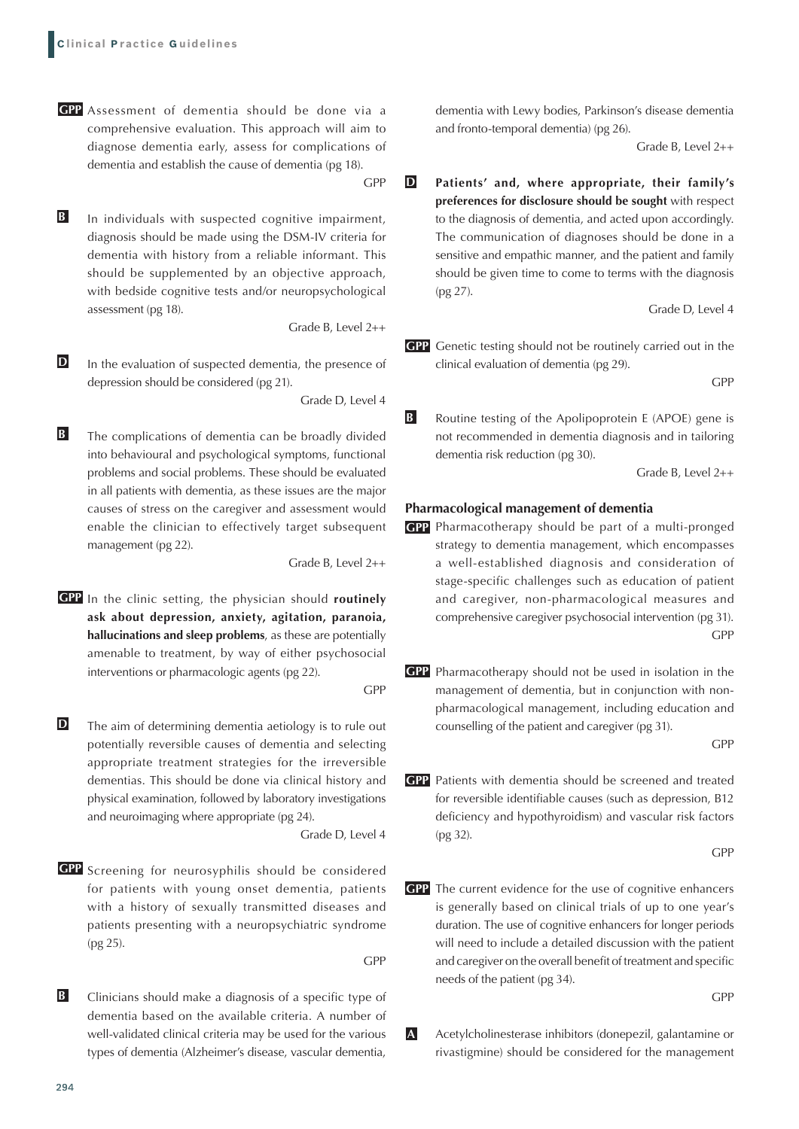Assessment of dementia should be done via a **GPP** comprehensive evaluation. This approach will aim to diagnose dementia early, assess for complications of dementia and establish the cause of dementia (pg 18).

GPP

In individuals with suspected cognitive impairment, diagnosis should be made using the DSM-IV criteria for dementia with history from a reliable informant. This should be supplemented by an objective approach, with bedside cognitive tests and/or neuropsychological assessment (pg 18). **B**

Grade B, Level 2++

In the evaluation of suspected dementia, the presence of depression should be considered (pg 21). **D**

Grade D, Level 4

The complications of dementia can be broadly divided into behavioural and psychological symptoms, functional problems and social problems. These should be evaluated in all patients with dementia, as these issues are the major causes of stress on the caregiver and assessment would enable the clinician to effectively target subsequent management (pg 22). **B**

Grade B, Level 2++

GPP In the clinic setting, the physician should routinely **ask about depression, anxiety, agitation, paranoia, hallucinations and sleep problems**, as these are potentially amenable to treatment, by way of either psychosocial interventions or pharmacologic agents (pg 22).

GPP

The aim of determining dementia aetiology is to rule out potentially reversible causes of dementia and selecting appropriate treatment strategies for the irreversible dementias. This should be done via clinical history and physical examination, followed by laboratory investigations and neuroimaging where appropriate (pg 24). **D**

Grade D, Level 4

GPP Screening for neurosyphilis should be considered for patients with young onset dementia, patients with a history of sexually transmitted diseases and patients presenting with a neuropsychiatric syndrome (pg 25).

GPP

Clinicians should make a diagnosis of a specific type of dementia based on the available criteria. A number of well-validated clinical criteria may be used for the various types of dementia (Alzheimer's disease, vascular dementia, **B**

dementia with Lewy bodies, Parkinson's disease dementia and fronto-temporal dementia) (pg 26).

Grade B, Level 2++

**Patients' and, where appropriate, their family's preferences for disclosure should be sought** with respect to the diagnosis of dementia, and acted upon accordingly. The communication of diagnoses should be done in a sensitive and empathic manner, and the patient and family should be given time to come to terms with the diagnosis (pg 27). **D**

Grade D, Level 4

**GPP** Genetic testing should not be routinely carried out in the clinical evaluation of dementia (pg 29).

GPP

Routine testing of the Apolipoprotein E (APOE) gene is not recommended in dementia diagnosis and in tailoring dementia risk reduction (pg 30). **B**

Grade B, Level 2++

#### **Pharmacological management of dementia**

- Pharmacotherapy should be part of a multi-pronged **GPP** strategy to dementia management, which encompasses a well-established diagnosis and consideration of stage-specific challenges such as education of patient and caregiver, non-pharmacological measures and comprehensive caregiver psychosocial intervention (pg 31). GPP
- **GPP** Pharmacotherapy should not be used in isolation in the management of dementia, but in conjunction with nonpharmacological management, including education and counselling of the patient and caregiver (pg 31).

GPP

Patients with dementia should be screened and treated **GPP** for reversible identifiable causes (such as depression, B12 deficiency and hypothyroidism) and vascular risk factors (pg 32).

GPP

GPP The current evidence for the use of cognitive enhancers is generally based on clinical trials of up to one year's duration. The use of cognitive enhancers for longer periods will need to include a detailed discussion with the patient and caregiver on the overall benefit of treatment and specific needs of the patient (pg 34).

GPP

Acetylcholinesterase inhibitors (donepezil, galantamine or rivastigmine) should be considered for the management **A**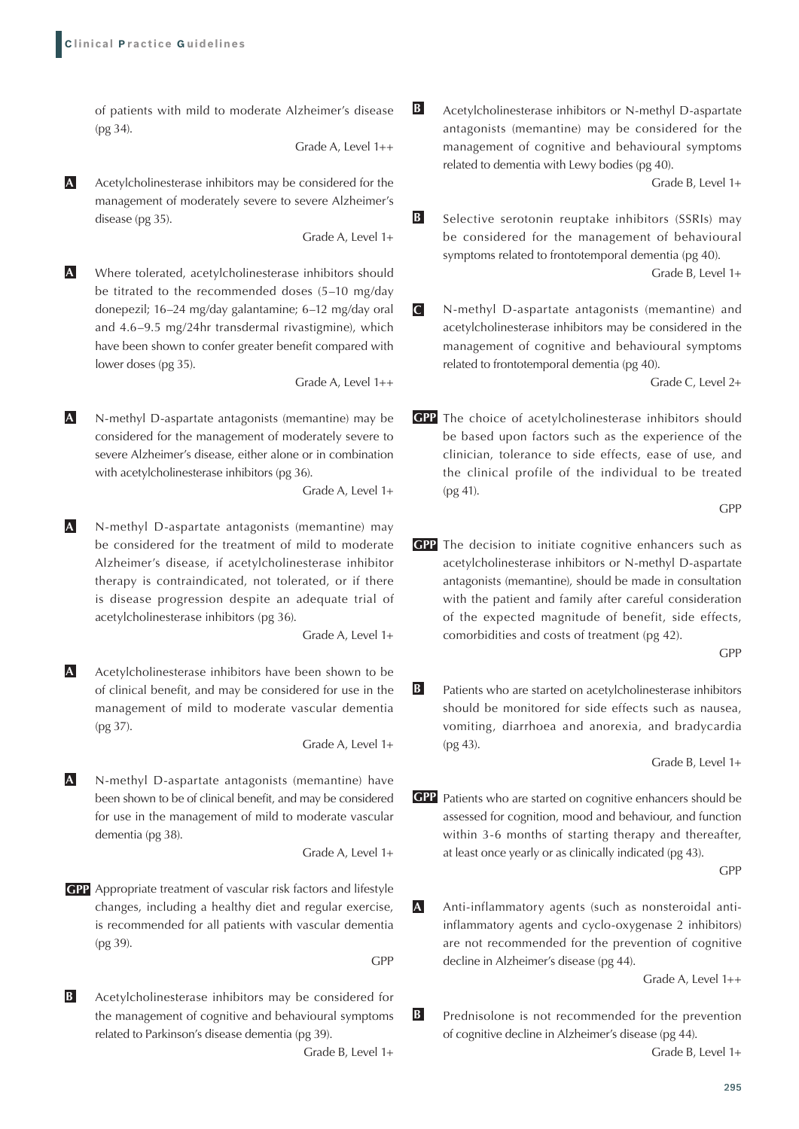of patients with mild to moderate Alzheimer's disease (pg 34).

Grade A, Level 1++

**B**

Acetylcholinesterase inhibitors may be considered for the management of moderately severe to severe Alzheimer's disease (pg 35). **A**

Grade A, Level 1+

Where tolerated, acetylcholinesterase inhibitors should be titrated to the recommended doses (5–10 mg/day donepezil; 16–24 mg/day galantamine; 6–12 mg/day oral and 4.6–9.5 mg/24hr transdermal rivastigmine), which have been shown to confer greater benefit compared with lower doses (pg 35). **A**

Grade A, Level 1++

N-methyl D-aspartate antagonists (memantine) may be considered for the management of moderately severe to severe Alzheimer's disease, either alone or in combination with acetylcholinesterase inhibitors (pg 36). **A**

Grade A, Level 1+

N-methyl D-aspartate antagonists (memantine) may be considered for the treatment of mild to moderate Alzheimer's disease, if acetylcholinesterase inhibitor therapy is contraindicated, not tolerated, or if there is disease progression despite an adequate trial of acetylcholinesterase inhibitors (pg 36). **A**

Grade A, Level 1+

Acetylcholinesterase inhibitors have been shown to be of clinical benefit, and may be considered for use in the management of mild to moderate vascular dementia (pg 37). **A**

Grade A, Level 1+

N-methyl D-aspartate antagonists (memantine) have been shown to be of clinical benefit, and may be considered for use in the management of mild to moderate vascular dementia (pg 38). **A**

Grade A, Level 1+

Appropriate treatment of vascular risk factors and lifestyle **GPP** changes, including a healthy diet and regular exercise, is recommended for all patients with vascular dementia (pg 39).

GPP

Acetylcholinesterase inhibitors may be considered for the management of cognitive and behavioural symptoms related to Parkinson's disease dementia (pg 39). **B**

Grade B, Level 1+

Acetylcholinesterase inhibitors or N-methyl D-aspartate antagonists (memantine) may be considered for the management of cognitive and behavioural symptoms related to dementia with Lewy bodies (pg 40).

Grade B, Level 1+

Selective serotonin reuptake inhibitors (SSRIs) may be considered for the management of behavioural symptoms related to frontotemporal dementia (pg 40). **B**

Grade B, Level 1+

N-methyl D-aspartate antagonists (memantine) and acetylcholinesterase inhibitors may be considered in the management of cognitive and behavioural symptoms related to frontotemporal dementia (pg 40). **C**

Grade C, Level 2+

GPP The choice of acetylcholinesterase inhibitors should be based upon factors such as the experience of the clinician, tolerance to side effects, ease of use, and the clinical profile of the individual to be treated (pg 41).

GPP and the contract of the contract of the contract of the contract of the contract of the contract of the contract of the contract of the contract of the contract of the contract of the contract of the contract of the co

**GPP** The decision to initiate cognitive enhancers such as acetylcholinesterase inhibitors or N-methyl D-aspartate antagonists (memantine), should be made in consultation with the patient and family after careful consideration of the expected magnitude of benefit, side effects, comorbidities and costs of treatment (pg 42).

GPP

Patients who are started on acetylcholinesterase inhibitors should be monitored for side effects such as nausea, vomiting, diarrhoea and anorexia, and bradycardia (pg 43). **B**

Grade B, Level 1+

GPP Patients who are started on cognitive enhancers should be assessed for cognition, mood and behaviour, and function within 3-6 months of starting therapy and thereafter. at least once yearly or as clinically indicated (pg 43).

GPP

Anti-inflammatory agents (such as nonsteroidal antiinflammatory agents and cyclo-oxygenase 2 inhibitors) are not recommended for the prevention of cognitive decline in Alzheimer's disease (pg 44). **A**

Grade A, Level 1++

Prednisolone is not recommended for the prevention of cognitive decline in Alzheimer's disease (pg 44). **B**

Grade B, Level 1+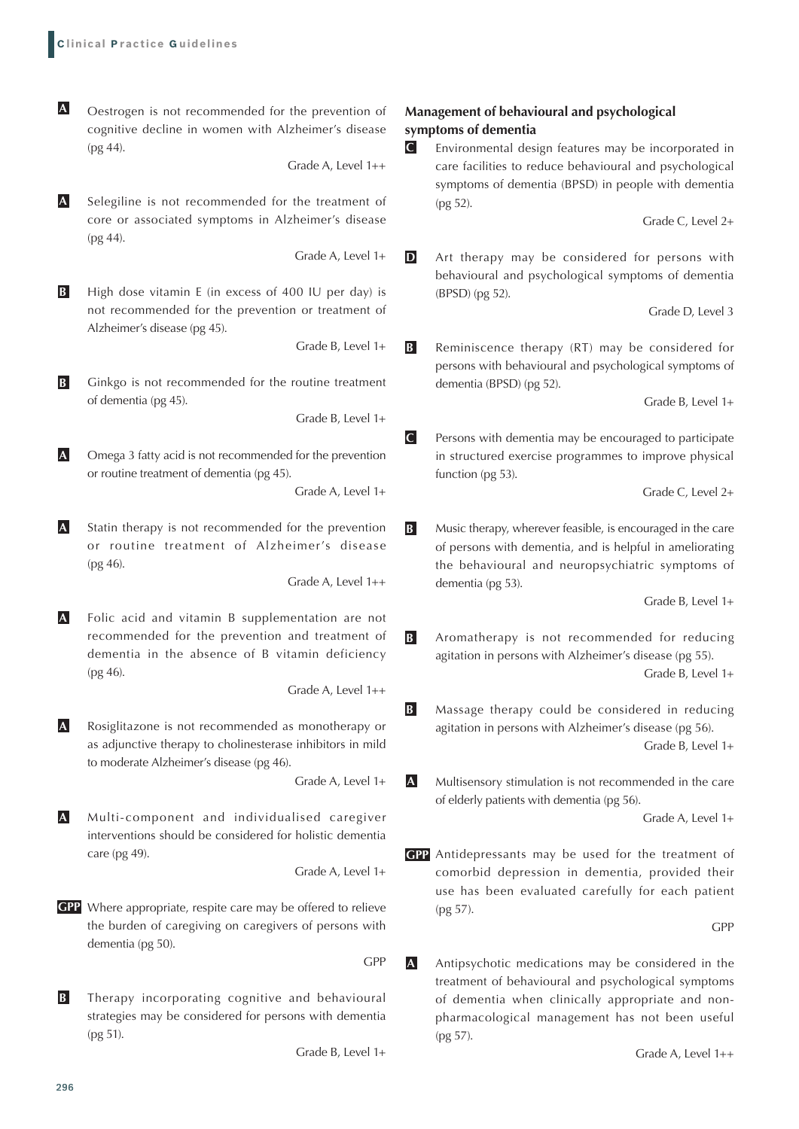Oestrogen is not recommended for the prevention of cognitive decline in women with Alzheimer's disease (pg 44). **A**

Grade A, Level 1++

**C**

**C**

Selegiline is not recommended for the treatment of core or associated symptoms in Alzheimer's disease (pg 44). **A**

Grade A, Level 1+

High dose vitamin E (in excess of 400 IU per day) is not recommended for the prevention or treatment of Alzheimer's disease (pg 45). **B**

Grade B, Level 1+

Ginkgo is not recommended for the routine treatment of dementia (pg 45). **B**

Grade B, Level 1+

Omega 3 fatty acid is not recommended for the prevention or routine treatment of dementia (pg 45). **A**

Grade A, Level 1+

Statin therapy is not recommended for the prevention or routine treatment of Alzheimer's disease (pg 46). **A**

Grade A, Level 1++

Folic acid and vitamin B supplementation are not recommended for the prevention and treatment of dementia in the absence of B vitamin deficiency (pg 46). **A**

Grade A, Level 1++

Rosiglitazone is not recommended as monotherapy or as adjunctive therapy to cholinesterase inhibitors in mild to moderate Alzheimer's disease (pg 46). **A**

Grade A, Level 1+

Multi-component and individualised caregiver interventions should be considered for holistic dementia care (pg 49). **A**

Grade A, Level 1+

- Where appropriate, respite care may be offered to relieve **GPP** the burden of caregiving on caregivers of persons with dementia (pg 50).
- Therapy incorporating cognitive and behavioural strategies may be considered for persons with dementia (pg 51). **B**

Grade B, Level 1+

GPP

# **Management of behavioural and psychological symptoms of dementia**

Environmental design features may be incorporated in care facilities to reduce behavioural and psychological symptoms of dementia (BPSD) in people with dementia (pg 52).

Grade C, Level 2+

Art therapy may be considered for persons with behavioural and psychological symptoms of dementia (BPSD) (pg 52). **D**

Grade D, Level 3

Reminiscence therapy (RT) may be considered for persons with behavioural and psychological symptoms of dementia (BPSD) (pg 52). **B**

Grade B, Level 1+

Persons with dementia may be encouraged to participate in structured exercise programmes to improve physical function (pg 53).

Grade C, Level 2+

Music therapy, wherever feasible, is encouraged in the care of persons with dementia, and is helpful in ameliorating the behavioural and neuropsychiatric symptoms of dementia (pg 53). **B**

Grade B, Level 1+

- Aromatherapy is not recommended for reducing agitation in persons with Alzheimer's disease (pg 55). Grade B, Level 1+ **B**
- Massage therapy could be considered in reducing agitation in persons with Alzheimer's disease (pg 56). Grade B, Level 1+ **B**
- Multisensory stimulation is not recommended in the care of elderly patients with dementia (pg 56). **A**

Grade A, Level 1+

Antidepressants may be used for the treatment of **GPP** comorbid depression in dementia, provided their use has been evaluated carefully for each patient (pg 57).

GPP

Antipsychotic medications may be considered in the treatment of behavioural and psychological symptoms of dementia when clinically appropriate and nonpharmacological management has not been useful (pg 57). **A**

Grade A, Level 1++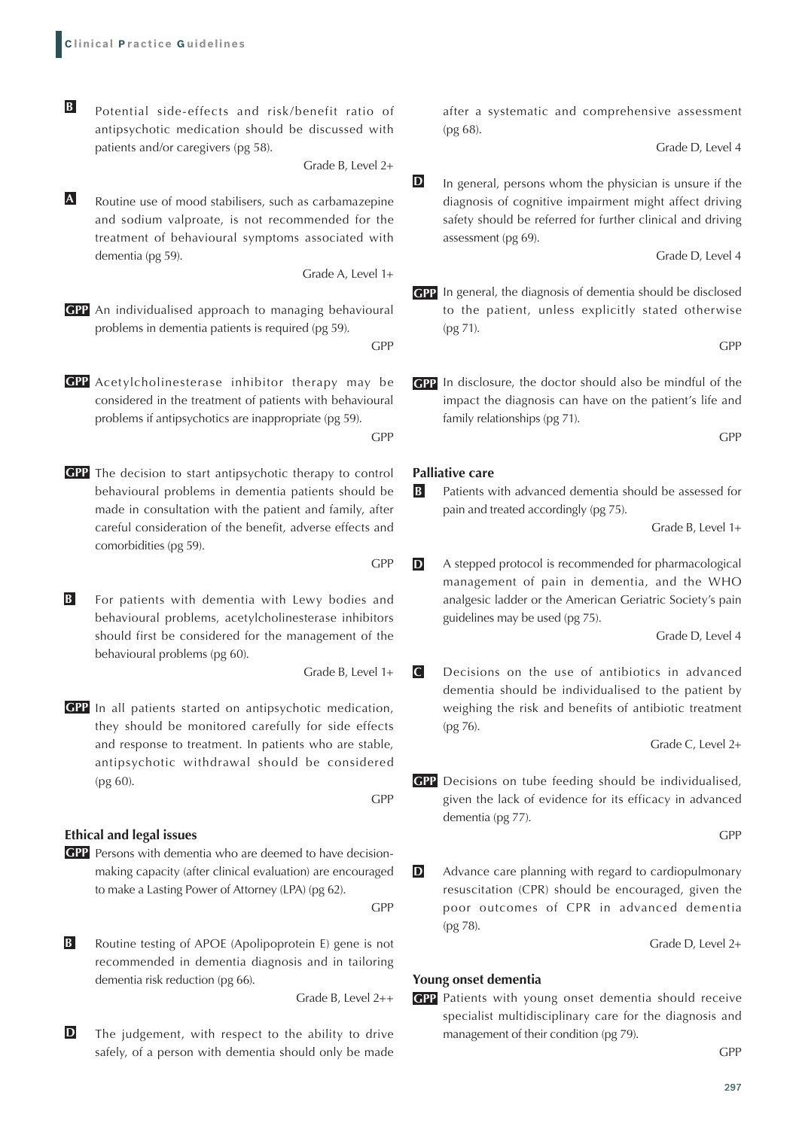Potential side-effects and risk/benefit ratio of antipsychotic medication should be discussed with patients and/or caregivers (pg 58). **B**

Grade B, Level 2+

Routine use of mood stabilisers, such as carbamazepine and sodium valproate, is not recommended for the treatment of behavioural symptoms associated with dementia (pg 59). **A**

Grade A, Level 1+

- An individualised approach to managing behavioural **GPP** problems in dementia patients is required (pg 59). GPP
- Acetylcholinesterase inhibitor therapy may be **GPP GPP** considered in the treatment of patients with behavioural problems if antipsychotics are inappropriate (pg 59). GPP
- GPP The decision to start antipsychotic therapy to control behavioural problems in dementia patients should be made in consultation with the patient and family, after careful consideration of the benefit, adverse effects and comorbidities (pg 59).
- For patients with dementia with Lewy bodies and behavioural problems, acetylcholinesterase inhibitors should first be considered for the management of the behavioural problems (pg 60). **B**

Grade B, Level 1+

GPP

GPP In all patients started on antipsychotic medication, they should be monitored carefully for side effects and response to treatment. In patients who are stable, antipsychotic withdrawal should be considered (pg 60).

#### **Ethical and legal issues**

Persons with dementia who are deemed to have decision-**GPP** making capacity (after clinical evaluation) are encouraged to make a Lasting Power of Attorney (LPA) (pg 62).

GPP

GPP

Routine testing of APOE (Apolipoprotein E) gene is not recommended in dementia diagnosis and in tailoring dementia risk reduction (pg 66). **B**

Grade B, Level 2++

The judgement, with respect to the ability to drive safely, of a person with dementia should only be made **D**

after a systematic and comprehensive assessment (pg 68).

Grade D, Level 4

In general, persons whom the physician is unsure if the diagnosis of cognitive impairment might affect driving safety should be referred for further clinical and driving assessment (pg 69). **D**

Grade D, Level 4

**GPP** In general, the diagnosis of dementia should be disclosed to the patient, unless explicitly stated otherwise (pg 71).

GPP

GPP In disclosure, the doctor should also be mindful of the impact the diagnosis can have on the patient's life and family relationships (pg 71).

GPP

#### **Palliative care**

Patients with advanced dementia should be assessed for pain and treated accordingly (pg 75). **B**

Grade B, Level 1+

A stepped protocol is recommended for pharmacological management of pain in dementia, and the WHO analgesic ladder or the American Geriatric Society's pain guidelines may be used (pg 75). **D**

Grade D, Level 4

Decisions on the use of antibiotics in advanced dementia should be individualised to the patient by weighing the risk and benefits of antibiotic treatment (pg 76). **C**

Grade C, Level 2+

Decisions on tube feeding should be individualised, **GPP** given the lack of evidence for its efficacy in advanced dementia (pg 77).

GPP

Advance care planning with regard to cardiopulmonary resuscitation (CPR) should be encouraged, given the poor outcomes of CPR in advanced dementia (pg 78). **D**

Grade D, Level 2+

#### **Young onset dementia**

Patients with young onset dementia should receive **GPP** specialist multidisciplinary care for the diagnosis and management of their condition (pg 79).

GPP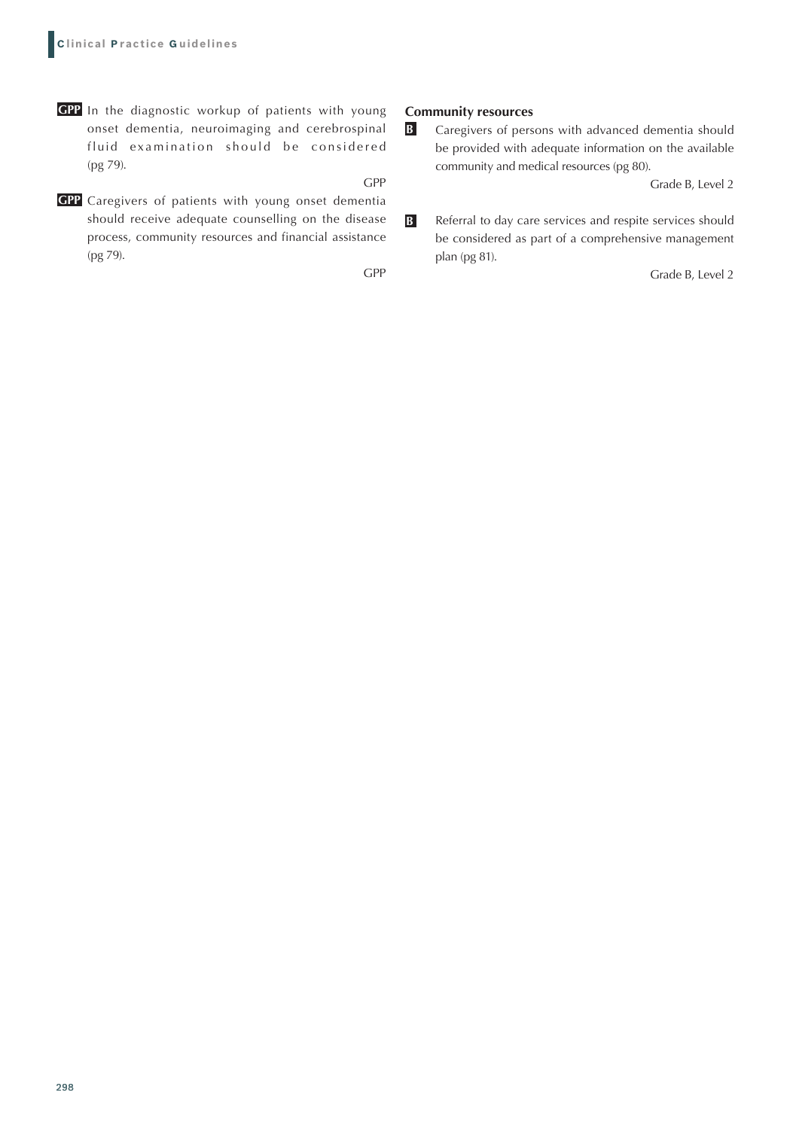- **GPP** In the diagnostic workup of patients with young onset dementia, neuroimaging and cerebrospinal fluid examination should be considered (pg 79).
- GPP Caregivers of patients with young onset dementia should receive adequate counselling on the disease process, community resources and financial assistance (pg 79).

GPP

GPP

#### **Community resources**

Caregivers of persons with advanced dementia should be provided with adequate information on the available community and medical resources (pg 80). **B**

Grade B, Level 2

Referral to day care services and respite services should be considered as part of a comprehensive management plan (pg 81). **B**

Grade B, Level 2